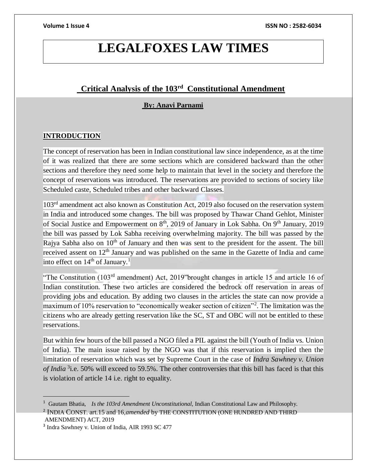# **LEGALFOXES LAW TIMES**

# **Critical Analysis of the 103rd Constitutional Amendment**

### **By: Anavi Parnami**

### **INTRODUCTION**

The concept of reservation has been in Indian constitutional law since independence, as at the time of it was realized that there are some sections which are considered backward than the other sections and therefore they need some help to maintain that level in the society and therefore the concept of reservations was introduced. The reservations are provided to sections of society like Scheduled caste, Scheduled tribes and other backward Classes.

103<sup>rd</sup> amendment act also known as Constitution Act, 2019 also focused on the reservation system in India and introduced some changes. The bill was proposed by Thawar Chand Gehlot, Minister of Social Justice and Empowerment on 8<sup>th</sup>, 2019 of January in Lok Sabha. On 9<sup>th</sup> January, 2019 the bill was passed by Lok Sabha receiving overwhelming majority. The bill was passed by the Rajya Sabha also on 10<sup>th</sup> of January and then was sent to the president for the assent. The bill received assent on 12<sup>th</sup> January and was published on the same in the Gazette of India and came into effect on 14<sup>th</sup> of January.<sup>1</sup>

"The Constitution (103rd amendment) Act, 2019"brought changes in article 15 and article 16 of Indian constitution. These two articles are considered the bedrock off reservation in areas of providing jobs and education. By adding two clauses in the articles the state can now provide a maximum of 10% reservation to "economically weaker section of citizen"<sup>2</sup>. The limitation was the citizens who are already getting reservation like the SC, ST and OBC will not be entitled to these reservations.

But within few hours of the bill passed a NGO filed a PIL against the bill (Youth of India vs. Union of India). The main issue raised by the NGO was that if this reservation is implied then the limitation of reservation which was set by Supreme Court in the case of *Indra Sawhney v. Union of India* <sup>3</sup> i.e. 50% will exceed to 59.5%. The other controversies that this bill has faced is that this is violation of article 14 i.e. right to equality.

<sup>&</sup>lt;sup>1</sup> Gautam Bhatia, *Is the 103rd Amendment Unconstitutional*, Indian Constitutional Law and Philosophy.

<sup>2</sup> INDIA CONST. art.15 and 16,*amended* by THE CONSTITUTION (ONE HUNDRED AND THIRD AMENDMENT) ACT, 2019

<sup>&</sup>lt;sup>3</sup> Indra Sawhney v. Union of India, AIR 1993 SC 477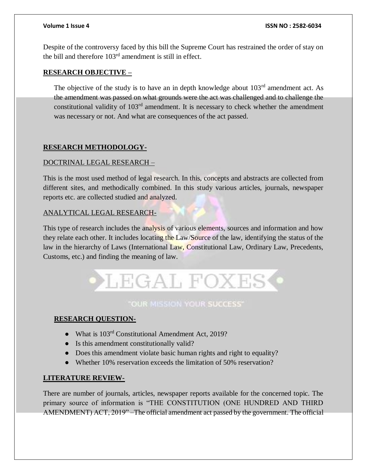Despite of the controversy faced by this bill the Supreme Court has restrained the order of stay on the bill and therefore  $103<sup>rd</sup>$  amendment is still in effect.

### **RESEARCH OBJECTIVE –**

The objective of the study is to have an in depth knowledge about  $103<sup>rd</sup>$  amendment act. As the amendment was passed on what grounds were the act was challenged and to challenge the constitutional validity of  $103<sup>rd</sup>$  amendment. It is necessary to check whether the amendment was necessary or not. And what are consequences of the act passed.

# **RESEARCH METHODOLOGY-**

### DOCTRINAL LEGAL RESEARCH –

This is the most used method of legal research. In this, concepts and abstracts are collected from different sites, and methodically combined. In this study various articles, journals, newspaper reports etc. are collected studied and analyzed.

### ANALYTICAL LEGAL RESEARCH-

This type of research includes the analysis of various elements, sources and information and how they relate each other. It includes locating the Law/Source of the law, identifying the status of the law in the hierarchy of Laws (International Law, Constitutional Law, Ordinary Law, Precedents, Customs, etc.) and finding the meaning of law.



# "OUR MISSION YOUR SUCCESS"

# **RESEARCH QUESTION-**

- What is 103<sup>rd</sup> Constitutional Amendment Act, 2019?
- Is this amendment constitutionally valid?
- Does this amendment violate basic human rights and right to equality?
- Whether 10% reservation exceeds the limitation of 50% reservation?

### **LITERATURE REVIEW-**

There are number of journals, articles, newspaper reports available for the concerned topic. The primary source of information is "THE CONSTITUTION (ONE HUNDRED AND THIRD AMENDMENT) ACT, 2019" –The official amendment act passed by the government. The official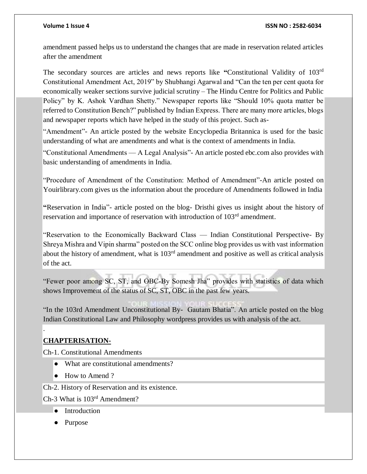amendment passed helps us to understand the changes that are made in reservation related articles after the amendment

The secondary sources are articles and news reports like **"**Constitutional Validity of 103rd Constitutional Amendment Act, 2019" by Shubhangi Agarwal and "Can the ten per cent quota for economically weaker sections survive judicial scrutiny – The Hindu Centre for Politics and Public Policy" by K. Ashok Vardhan Shetty." Newspaper reports like "Should 10% quota matter be referred to Constitution Bench?" published by Indian Express. There are many more articles, blogs and newspaper reports which have helped in the study of this project. Such as-

"Amendment"- An article posted by the website Encyclopedia Britannica is used for the basic understanding of what are amendments and what is the context of amendments in India.

"Constitutional Amendments — A Legal Analysis"- An article posted ebc.com also provides with basic understanding of amendments in India.

"Procedure of Amendment of the Constitution: Method of Amendment"-An article posted on Youirlibrary.com gives us the information about the procedure of Amendments followed in India

**"**Reservation in India"- article posted on the blog- Dristhi gives us insight about the history of reservation and importance of reservation with introduction of 103<sup>rd</sup> amendment.

"Reservation to the Economically Backward Class — Indian Constitutional Perspective- By Shreya Mishra and Vipin sharma" posted on the SCC online blog provides us with vast information about the history of amendment, what is 103rd amendment and positive as well as critical analysis of the act.

"Fewer poor among SC, ST, and OBC-By Somesh Jha" provides with statistics of data which shows Improvement of the status of SC, ST, OBC in the past few years.

"In the 103rd Amendment Unconstitutional By- Gautam Bhatia". An article posted on the blog Indian Constitutional Law and Philosophy wordpress provides us with analysis of the act.

# **CHAPTERISATION-**

.

Ch-1. Constitutional Amendments

- What are constitutional amendments?
- How to Amend ?

Ch-2. History of Reservation and its existence.

Ch-3 What is 103rd Amendment?

- Introduction
- Purpose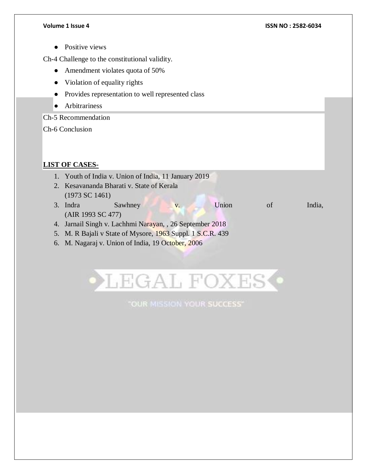● Positive views

Ch-4 Challenge to the constitutional validity.

- Amendment violates quota of 50%
- Violation of equality rights
- Provides representation to well represented class
- Arbitrariness

Ch-5 Recommendation

Ch-6 Conclusion

# **LIST OF CASES-**

- 1. Youth of India v. Union of India, 11 January 2019 2. Kesavananda Bharati v. State of Kerala
- (1973 SC 1461) 3. Indra Sawhney v. Union of India, (AIR 1993 SC 477)
- 4. Jarnail Singh v. Lachhmi Narayan, , 26 September 2018
- 5. M. R Bajali v State of Mysore, 1963 Suppl. 1 S.C.R. 439
- 6. M. Nagaraj v. Union of India, 19 October, 2006



"OUR MISSION YOUR SUCCESS"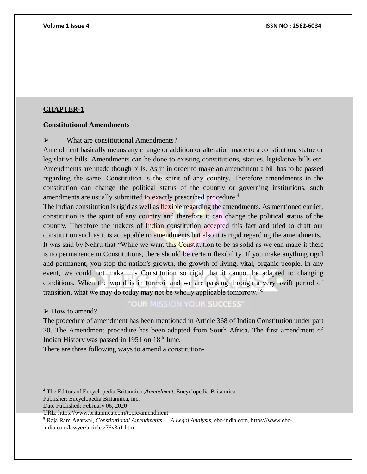### **Constitutional Amendments**

### $\triangleright$  What are constitutional Amendments?

Amendment basically means any change or addition or alteration made to a constitution, statue or legislative bills. Amendments can be done to existing constitutions, statues, legislative bills etc. Amendments are made though bills. As in in order to make an amendment a bill has to be passed regarding the same. Constitution is the spirit of any country. Therefore amendments in the constitution can change the political status of the country or governing institutions, such amendments are usually submitted to exactly prescribed procedure.<sup>4</sup>

The Indian constitution is rigid as well as flexible regarding the amendments. As mentioned earlier, constitution is the spirit of any country and therefore it can change the political status of the country. Therefore the makers of Indian constitution accepted this fact and tried to draft our constitution such as it is acceptable to amendments but also it is rigid regarding the amendments. It was said by Nehru that "While we want this Constitution to be as solid as we can make it there is no permanence in Constitutions, there should be certain flexibility. If you make anything rigid and permanent, you stop the nation's growth, the growth of living, vital, organic people. In any event, we could not make this Constitution so rigid that it cannot be adapted to changing conditions. When the world is in turmoil and we are passing through a very swift period of transition, what we may do today may not be wholly applicable tomorrow."<sup>5</sup>

### $\triangleright$  How to amend?

 $\overline{a}$ 

# **"OUR MISSION YOUR SUCCESS"**

The procedure of amendment has been mentioned in Article 368 of Indian Constitution under part 20. The Amendment procedure has been adapted from South Africa. The first amendment of Indian History was passed in 1951 on  $18<sup>th</sup>$  June.

There are three following ways to amend a constitution-

<sup>4</sup> The Editors of Encyclopedia Britannica ,*Amendment*, Encyclopedia Britannica Publisher: Encyclopedia Britannica, inc.

Date Published: February 06, 2020

URL: https://www.britannica.com/topic/amendment

<sup>5</sup> Raja Ram Agarwal, *Constitutional Amendments — A Legal Analysis,* ebc-india.com, https://www.ebcindia.com/lawyer/articles/76v3a1.htm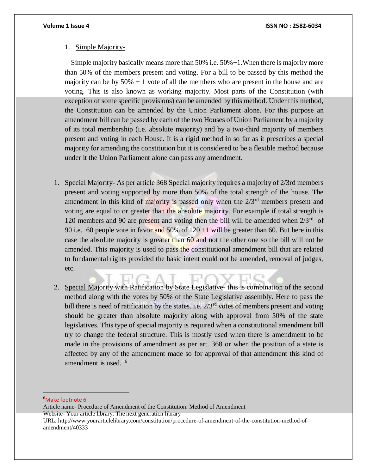### 1. Simple Majority-

Simple majority basically means more than  $50\%$  i.e.  $50\% + 1$ . When there is majority more than 50% of the members present and voting. For a bill to be passed by this method the majority can be by  $50\% + 1$  vote of all the members who are present in the house and are voting. This is also known as working majority. Most parts of the Constitution (with exception of some specific provisions) can be amended by this method. Under this method, the Constitution can be amended by the Union Parliament alone. For this purpose an amendment bill can be passed by each of the two Houses of Union Parliament by a majority of its total membership (i.e. absolute majority) and by a two-third majority of members present and voting in each House. It is a rigid method in so far as it prescribes a special majority for amending the constitution but it is considered to be a flexible method because under it the Union Parliament alone can pass any amendment.

- 1. Special Majority- As per article 368 Special majority requires a majority of 2/3rd members present and voting supported by more than 50% of the total strength of the house. The amendment in this kind of majority is passed only when the  $2/3<sup>rd</sup>$  members present and voting are equal to or greater than the absolute majority. For example if total strength is 120 members and 90 are present and voting then the bill will be amended when  $2/3^{rd}$  of 90 i.e. 60 people vote in favor and 50% of  $120 + 1$  will be greater than 60. But here in this case the absolute majority is greater than 60 and not the other one so the bill will not be amended. This majority is used to pass the constitutional amendment bill that are related to fundamental rights provided the basic intent could not be amended, removal of judges, etc.
- 2. Special Majority with Ratification by State Legislative- this is combination of the second method along with the votes by 50% of the State Legislative assembly. Here to pass the bill there is need of ratification by the states. i.e.  $2/3<sup>rd</sup>$  votes of members present and voting should be greater than absolute majority along with approval from 50% of the state legislatives. This type of special majority is required when a constitutional amendment bill try to change the federal structure. This is mostly used when there is amendment to be made in the provisions of amendment as per art. 368 or when the position of a state is affected by any of the amendment made so for approval of that amendment this kind of amendment is used." 67

 $\overline{a}$ 

<sup>&</sup>lt;sup>6</sup>Make footnote 6

Article name- Procedure of Amendment of the Constitution: Method of Amendment Website- Your article library, The next generation library URL: http://www.yourarticlelibrary.com/constitution/procedure-of-amendment-of-the-constitution-method-ofamendment/40333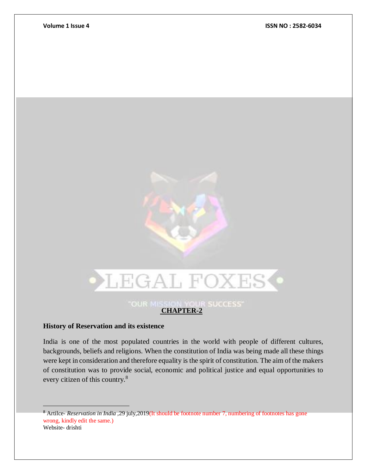

### **History of Reservation and its existence**

 $\overline{a}$ 

India is one of the most populated countries in the world with people of different cultures, backgrounds, beliefs and religions. When the constitution of India was being made all these things were kept in consideration and therefore equality is the spirit of constitution. The aim of the makers of constitution was to provide social, economic and political justice and equal opportunities to every citizen of this country.<sup>8</sup>

<sup>8</sup> Artilce- *Reservation in India ,*29 july,2019(It should be footnote number 7, numbering of footnotes has gone wrong, kindly edit the same.) Website- drishti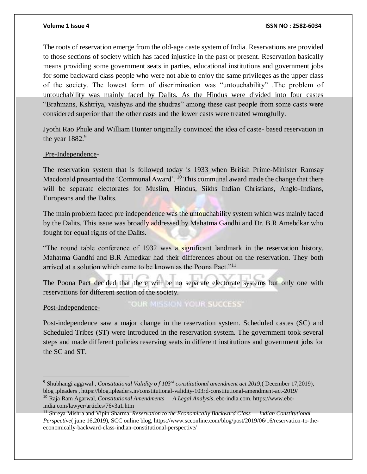The roots of reservation emerge from the old-age caste system of India. Reservations are provided to those sections of society which has faced injustice in the past or present. Reservation basically means providing some government seats in parties, educational institutions and government jobs for some backward class people who were not able to enjoy the same privileges as the upper class of the society. The lowest form of discrimination was "untouchability" .The problem of untouchability was mainly faced by Dalits. As the Hindus were divided into four castes "Brahmans, Kshtriya, vaishyas and the shudras" among these cast people from some casts were considered superior than the other casts and the lower casts were treated wrongfully.

Jyothi Rao Phule and William Hunter originally convinced the idea of caste- based reservation in the year 1882.<sup>9</sup>

### Pre-Independence-

The reservation system that is followed today is 1933 when British Prime-Minister Ramsay Macdonald presented the 'Communal Award'. <sup>10</sup> This communal award made the change that there will be separate electorates for Muslim, Hindus, Sikhs Indian Christians, Anglo-Indians, Europeans and the Dalits.

The main problem faced pre independence was the untouchability system which was mainly faced by the Dalits. This issue was broadly addressed by Mahatma Gandhi and Dr. B.R Amebdkar who fought for equal rights of the Dalits.

"The round table conference of 1932 was a significant landmark in the reservation history. Mahatma Gandhi and B.R Amedkar had their differences about on the reservation. They both arrived at a solution which came to be known as the Poona Pact."<sup>11</sup>

The Poona Pact decided that there will be no separate electorate systems but only one with reservations for different section of the society.

### Post-Independence-

"OUR MISSION YOUR SUCCESS"

Post-independence saw a major change in the reservation system. Scheduled castes (SC) and Scheduled Tribes (ST) were introduced in the reservation system. The government took several steps and made different policies reserving seats in different institutions and government jobs for the SC and ST.

<sup>9</sup> Shubhangi aggrwal , *Constitutional Validity o f 103rd constitutional amendment act 2019,*( December 17,2019), blog ipleaders *,* https://blog.ipleaders.in/constitutional-validity-103rd-constitutional-amendment-act-2019/

<sup>10</sup> Raja Ram Agarwal, *Constitutional Amendments — A Legal Analysis,* ebc-india.com, https://www.ebcindia.com/lawyer/articles/76v3a1.htm

<sup>11</sup> Shreya Mishra and Vipin Sharma, *Reservation to the Economically Backward Class — Indian Constitutional Perspective*( june 16,2019), SCC online blog, https://www.scconline.com/blog/post/2019/06/16/reservation-to-theeconomically-backward-class-indian-constitutional-perspective/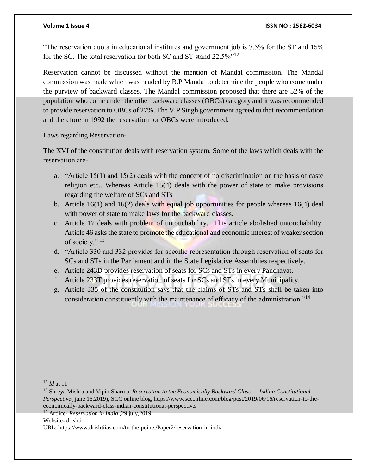"The reservation quota in educational institutes and government job is 7.5% for the ST and 15% for the SC. The total reservation for both SC and ST stand 22.5%"<sup>12</sup>

Reservation cannot be discussed without the mention of Mandal commission. The Mandal commission was made which was headed by B.P Mandal to determine the people who come under the purview of backward classes. The Mandal commission proposed that there are 52% of the population who come under the other backward classes (OBCs) category and it was recommended to provide reservation to OBCs of 27%. The V.P Singh government agreed to that recommendation and therefore in 1992 the reservation for OBCs were introduced.

### Laws regarding Reservation-

The XVI of the constitution deals with reservation system. Some of the laws which deals with the reservation are-

- a. "Article 15(1) and 15(2) deals with the concept of no discrimination on the basis of caste religion etc.. Whereas Article 15(4) deals with the power of state to make provisions regarding the welfare of SCs and STs
- b. Article  $16(1)$  and  $16(2)$  deals with equal job opportunities for people whereas  $16(4)$  deal with power of state to make laws for the backward classes.
- c. Article 17 deals with problem of untouchability. This article abolished untouchability. Article 46 asks the state to promote the educational and economic interest of weaker section of society."<sup>13</sup>
- d. "Article 330 and 332 provides for specific representation through reservation of seats for SCs and STs in the Parliament and in the State Legislative Assemblies respectively.
- e. Article 243D provides reservation of seats for SCs and STs in every Panchayat.
- f. Article 233T provides reservation of seats for SCs and STs in every Municipality.
- g. Article 335 of the constitution says that the claims of STs and STs shall be taken into consideration constituently with the maintenance of efficacy of the administration."<sup>14</sup>

Website- drishti

<sup>12</sup> *Id* at 11

<sup>13</sup> Shreya Mishra and Vipin Sharma, *Reservation to the Economically Backward Class — Indian Constitutional Perspective*( june 16,2019), SCC online blog, https://www.scconline.com/blog/post/2019/06/16/reservation-to-theeconomically-backward-class-indian-constitutional-perspective/

<sup>14</sup> Artilce- *Reservation in India ,*29 july,2019

URL: https://www.drishtiias.com/to-the-points/Paper2/reservation-in-india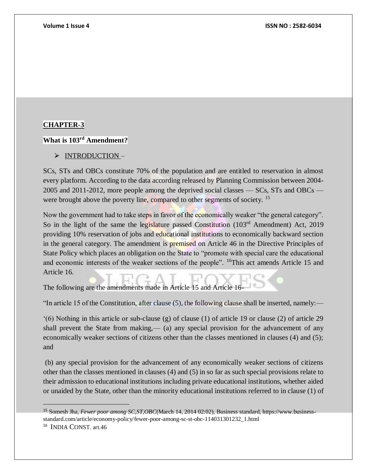### **What is 103rd Amendment?**

> INTRODUCTION-

SCs, STs and OBCs constitute 70% of the population and are entitled to reservation in almost every platform. According to the data according released by Planning Commission between 2004- 2005 and 2011-2012, more people among the deprived social classes — SCs, STs and OBCs were brought above the poverty line, compared to other segments of society. <sup>15</sup>

Now the government had to take steps in favor of the economically weaker "the general category". So in the light of the same the legislature passed Constitution  $(103<sup>rd</sup>$  Amendment) Act, 2019 providing 10% reservation of jobs and educational institutions to economically backward section in the general category. The amendment is premised on Article 46 in the Directive Principles of State Policy which places an obligation on the State to "promote with special care the educational and economic interests of the weaker sections of the people". <sup>16</sup>This act amends Article 15 and Article 16.

The following are the amendments made in Article 15 and Article 16-

"In article 15 of the Constitution, after clause (5), the following clause shall be inserted, namely:—

'(6) Nothing in this article or sub-clause (g) of clause (1) of article 19 or clause (2) of article 29 shall prevent the State from making,— (a) any special provision for the advancement of any economically weaker sections of citizens other than the classes mentioned in clauses (4) and (5); and

(b) any special provision for the advancement of any economically weaker sections of citizens other than the classes mentioned in clauses (4) and (5) in so far as such special provisions relate to their admission to educational institutions including private educational institutions, whether aided or unaided by the State, other than the minority educational institutions referred to in clause (1) of

 $\overline{a}$ 

<sup>15</sup> Somesh Jha, *Fewer poor among SC,ST,OBC*(March 14, 2014 02:02), Business standard, https://www.businessstandard.com/article/economy-policy/fewer-poor-among-sc-st-obc-114031301232\_1.html

<sup>16</sup> INDIA CONST. art.46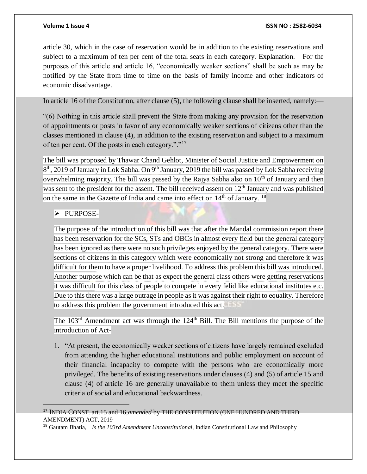article 30, which in the case of reservation would be in addition to the existing reservations and subject to a maximum of ten per cent of the total seats in each category. Explanation.—For the purposes of this article and article 16, "economically weaker sections" shall be such as may be notified by the State from time to time on the basis of family income and other indicators of economic disadvantage.

In article 16 of the Constitution, after clause (5), the following clause shall be inserted, namely:—

"(6) Nothing in this article shall prevent the State from making any provision for the reservation of appointments or posts in favor of any economically weaker sections of citizens other than the classes mentioned in clause (4), in addition to the existing reservation and subject to a maximum of ten per cent. Of the posts in each category."."<sup>17</sup>

The bill was proposed by Thawar Chand Gehlot, Minister of Social Justice and Empowerment on 8<sup>th</sup>, 2019 of January in Lok Sabha. On 9<sup>th</sup> January, 2019 the bill was passed by Lok Sabha receiving overwhelming majority. The bill was passed by the Rajya Sabha also on  $10<sup>th</sup>$  of January and then was sent to the president for the assent. The bill received assent on  $12<sup>th</sup>$  January and was published on the same in the Gazette of India and came into effect on  $14<sup>th</sup>$  of January. <sup>18</sup>

### ⮚ PURPOSE-

 $\overline{a}$ 

The purpose of the introduction of this bill was that after the Mandal commission report there has been reservation for the SCs, STs and OBCs in almost every field but the general category has been ignored as there were no such privileges enjoyed by the general category. There were sections of citizens in this category which were economically not strong and therefore it was difficult for them to have a proper livelihood. To address this problem this bill was introduced. Another purpose which can be that as expect the general class others were getting reservations it was difficult for this class of people to compete in every felid like educational institutes etc. Due to this there was a large outrage in people as it was against their right to equality. Therefore to address this problem the government introduced this act.

The 103<sup>rd</sup> Amendment act was through the 124<sup>th</sup> Bill. The Bill mentions the purpose of the introduction of Act-

1. "At present, the economically weaker sections of citizens have largely remained excluded from attending the higher educational institutions and public employment on account of their financial incapacity to compete with the persons who are economically more privileged. The benefits of existing reservations under clauses (4) and (5) of article 15 and clause (4) of article 16 are generally unavailable to them unless they meet the specific criteria of social and educational backwardness.

<sup>17</sup> INDIA CONST. art.15 and 16,*amended* by THE CONSTITUTION (ONE HUNDRED AND THIRD AMENDMENT) ACT, 2019

<sup>18</sup> Gautam Bhatia, *Is the 103rd Amendment Unconstitutional,* Indian Constitutional Law and Philosophy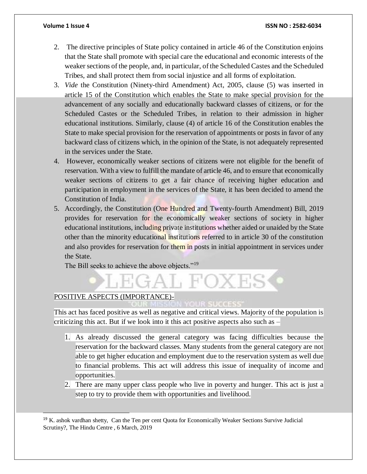- 2. The directive principles of State policy contained in article 46 of the Constitution enjoins that the State shall promote with special care the educational and economic interests of the weaker sections of the people, and, in particular, of the Scheduled Castes and the Scheduled Tribes, and shall protect them from social injustice and all forms of exploitation.
- 3. *Vide* the Constitution (Ninety-third Amendment) Act, 2005, clause (5) was inserted in article 15 of the Constitution which enables the State to make special provision for the advancement of any socially and educationally backward classes of citizens, or for the Scheduled Castes or the Scheduled Tribes, in relation to their admission in higher educational institutions. Similarly, clause (4) of article 16 of the Constitution enables the State to make special provision for the reservation of appointments or posts in favor of any backward class of citizens which, in the opinion of the State, is not adequately represented in the services under the State.
- 4. However, economically weaker sections of citizens were not eligible for the benefit of reservation. With a view to fulfill the mandate of article 46, and to ensure that economically weaker sections of citizens to get a fair chance of receiving higher education and participation in employment in the services of the State, it has been decided to amend the Constitution of India.
- 5. Accordingly, the Constitution (One Hundred and Twenty-fourth Amendment) Bill, 2019 provides for reservation for the economically weaker sections of society in higher educational institutions, including private institutions whether aided or unaided by the State other than the minority educational institutions referred to in article 30 of the constitution and also provides for reservation for them in posts in initial appointment in services under the State.

The Bill seeks to achieve the above objects."<sup>19</sup>

# POSITIVE ASPECTS (IMPORTANCE)-<br>COUR ENDINGER AND TOUR SUCCESS

 $\overline{a}$ 

This act has faced positive as well as negative and critical views. Majority of the population is criticizing this act. But if we look into it this act positive aspects also such as –

 $H'(\lambda)$ 

- 1. As already discussed the general category was facing difficulties because the reservation for the backward classes. Many students from the general category are not able to get higher education and employment due to the reservation system as well due to financial problems. This act will address this issue of inequality of income and opportunities.
- 2. There are many upper class people who live in poverty and hunger. This act is just a step to try to provide them with opportunities and livelihood.

<sup>19</sup> K. ashok vardhan shetty, Can the Ten per cent Quota for Economically Weaker Sections Survive Judicial Scrutiny?, The Hindu Centre , 6 March, 2019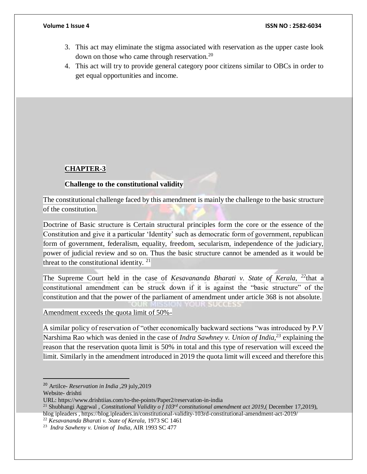- 3. This act may eliminate the stigma associated with reservation as the upper caste look down on those who came through reservation.<sup>20</sup>
- 4. This act will try to provide general category poor citizens similar to OBCs in order to get equal opportunities and income.

### **Challenge to the constitutional validity**

The constitutional challenge faced by this amendment is mainly the challenge to the basic structure of the constitution.

Doctrine of Basic structure is Certain structural principles form the core or the essence of the Constitution and give it a particular 'Identity' such as democratic form of government, republican form of government, federalism, equality, freedom, secularism, independence of the judiciary, power of judicial review and so on. Thus the basic structure cannot be amended as it would be threat to the constitutional identity.  $21$ 

The Supreme Court held in the case of *Kesavananda Bharati v. State of Kerala, <sup>22</sup>*that a constitutional amendment can be struck down if it is against the "basic structure" of the constitution and that the power of the parliament of amendment under article 368 is not absolute.

Amendment exceeds the quota limit of 50%-

A similar policy of reservation of "other economically backward sections "was introduced by P.V Narshima Rao which was denied in the case of *Indra Sawhney v. Union of India,<sup>23</sup>* explaining the reason that the reservation quota limit is 50% in total and this type of reservation will exceed the limit. Similarly in the amendment introduced in 2019 the quota limit will exceed and therefore this

 $\overline{a}$ 

<sup>20</sup> Artilce- *Reservation in India ,*29 july,2019

Website- drishti

URL: https://www.drishtiias.com/to-the-points/Paper2/reservation-in-india

<sup>21</sup> Shubhangi Aggrwal , *Constitutional Validity o f 103rd constitutional amendment act 2019,*( December 17,2019), blog ipleaders *,* https://blog.ipleaders.in/constitutional-validity-103rd-constitutional-amendment-act-2019/

<sup>22</sup> *Kesavananda Bharati v. State of Kerala,* 1973 SC 1461

<sup>23</sup> *Indra Sawheny v. Union of India*, AIR 1993 SC 477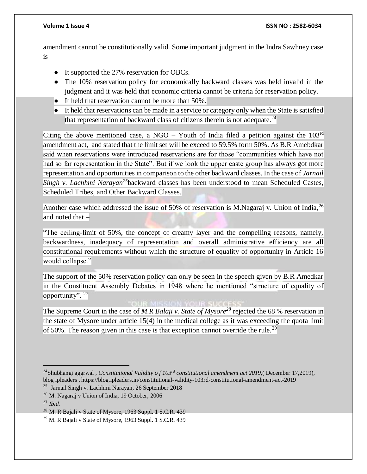amendment cannot be constitutionally valid. Some important judgment in the Indra Sawhney case is –

- It supported the 27% reservation for OBCs.
- The 10% reservation policy for economically backward classes was held invalid in the judgment and it was held that economic criteria cannot be criteria for reservation policy.
- It held that reservation cannot be more than 50%.
- It held that reservations can be made in a service or category only when the State is satisfied that representation of backward class of citizens therein is not adequate.<sup>24</sup>

Citing the above mentioned case, a NGO – Youth of India filed a petition against the  $103<sup>rd</sup>$ amendment act, and stated that the limit set will be exceed to 59.5% form 50%. As B.R Amebdkar said when reservations were introduced reservations are for those "communities which have not had so far representation in the State". But if we look the upper caste group has always got more representation and opportunities in comparison to the other backward classes. In the case of *Jarnail Singh v. Lachhmi Narayan<sup>25</sup>*backward classes has been understood to mean Scheduled Castes, Scheduled Tribes, and Other Backward Classes.

Another case which addressed the issue of 50% of reservation is M.Nagaraj v. Union of India, <sup>26</sup> and noted that –

"The ceiling-limit of 50%, the concept of creamy layer and the compelling reasons, namely, backwardness, inadequacy of representation and overall administrative efficiency are all constitutional requirements without which the structure of equality of opportunity in Article 16 would collapse."

The support of the 50% reservation policy can only be seen in the speech given by B.R Amedkar in the Constituent Assembly Debates in 1948 where he mentioned "structure of equality of opportunity". <sup>27</sup>

### **MISSION YOUR SUCCE**

The Supreme Court in the case of *M.R Balaji v. State of Mysore<sup>28</sup>* rejected the 68 % reservation in the state of Mysore under article 15(4) in the medical college as it was exceeding the quota limit of 50%. The reason given in this case is that exception cannot override the rule.<sup>29</sup>

<sup>24</sup>Shubhangi aggrwal , *Constitutional Validity o f 103rd constitutional amendment act 2019,*( December 17,2019), blog ipleaders *,* https://blog.ipleaders.in/constitutional-validity-103rd-constitutional-amendment-act-2019

<sup>&</sup>lt;sup>25</sup> Jarnail Singh v. Lachhmi Narayan, 26 September 2018

<sup>26</sup> M. Nagaraj v Union of India, 19 October, 2006

<sup>27</sup> *Ibid.*

<sup>28</sup> M. R Bajali v State of Mysore, 1963 Suppl. 1 S.C.R. 439

<sup>29</sup> M. R Bajali v State of Mysore, 1963 Suppl. 1 S.C.R. 439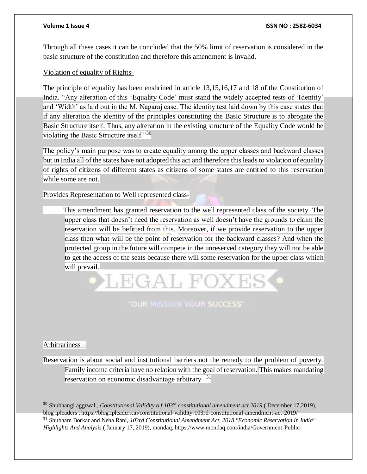Through all these cases it can be concluded that the 50% limit of reservation is considered in the basic structure of the constitution and therefore this amendment is invalid.

Violation of equality of Rights-

The principle of equality has been enshrined in article 13,15,16,17 and 18 of the Constitution of India. "Any alteration of this 'Equality Code' must stand the widely accepted tests of 'Identity' and 'Width' as laid out in the M. Nagaraj case. The identity test laid down by this case states that if any alteration the identity of the principles constituting the Basic Structure is to abrogate the Basic Structure itself. Thus, any alteration in the existing structure of the Equality Code would be violating the Basic Structure itself."<sup>30</sup>

The policy's main purpose was to create equality among the upper classes and backward classes but in India all of the states have not adopted this act and therefore this leads to violation of equality of rights of citizens of different states as citizens of some states are entitled to this reservation while some are not.

Provides Representation to Well represented class-

 This amendment has granted reservation to the well represented class of the society. The upper class that doesn't need the reservation as well doesn't have the grounds to claim the reservation will be befitted from this. Moreover, if we provide reservation to the upper class then what will be the point of reservation for the backward classes? And when the protected group in the future will compete in the unreserved category they will not be able to get the access of the seats because there will some reservation for the upper class which will prevail.

**"OUR MISSION YOUR SUCCESS"** 

LEGAL FOXI

### Arbitrariness –

Reservation is about social and institutional barriers not the remedy to the problem of poverty. Family income criteria have no relation with the goal of reservation. This makes mandating reservation on economic disadvantage arbitrary<sup>31</sup>

<sup>30</sup> Shubhangi aggrwal , *Constitutional Validity o f 103rd constitutional amendment act 2019,*( December 17,2019), blog ipleaders *,* https://blog.ipleaders.in/constitutional-validity-103rd-constitutional-amendment-act-2019/ <sup>31</sup> Shubham Borkar and Neha Rani, *103rd Constitutional Amendment Act, 2018 "Economic Reservation In India" Highlights And Analysis* ( January 17, 2019), mondaq, https://www.mondaq.com/india/Government-Public-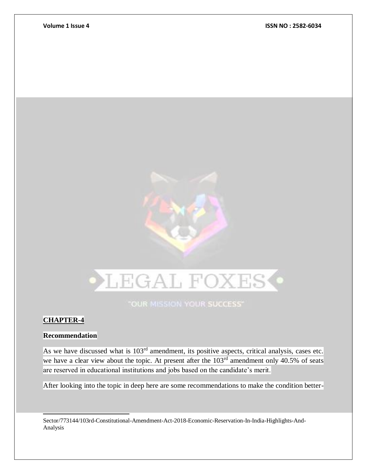

"OUR MISSION YOUR SUCCESS"

# **CHAPTER-4**

l

### **Recommendation**

As we have discussed what is 103<sup>rd</sup> amendment, its positive aspects, critical analysis, cases etc. we have a clear view about the topic. At present after the 103<sup>rd</sup> amendment only 40.5% of seats are reserved in educational institutions and jobs based on the candidate's merit.

After looking into the topic in deep here are some recommendations to make the condition better-

Sector/773144/103rd-Constitutional-Amendment-Act-2018-Economic-Reservation-In-India-Highlights-And-Analysis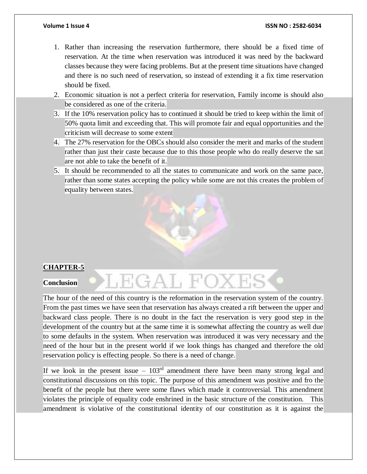- 1. Rather than increasing the reservation furthermore, there should be a fixed time of reservation. At the time when reservation was introduced it was need by the backward classes because they were facing problems. But at the present time situations have changed and there is no such need of reservation, so instead of extending it a fix time reservation should be fixed.
- 2. Economic situation is not a perfect criteria for reservation, Family income is should also be considered as one of the criteria.
- 3. If the 10% reservation policy has to continued it should be tried to keep within the limit of 50% quota limit and exceeding that. This will promote fair and equal opportunities and the criticism will decrease to some extent
- 4. The 27% reservation for the OBCs should also consider the merit and marks of the student rather than just their caste because due to this those people who do really deserve the sat are not able to take the benefit of it.
- 5. It should be recommended to all the states to communicate and work on the same pace, rather than some states accepting the policy while some are not this creates the problem of equality between states.

### **Conclusion**

The hour of the need of this country is the reformation in the reservation system of the country. From the past times we have seen that reservation has always created a rift between the upper and backward class people. There is no doubt in the fact the reservation is very good step in the development of the country but at the same time it is somewhat affecting the country as well due to some defaults in the system. When reservation was introduced it was very necessary and the need of the hour but in the present world if we look things has changed and therefore the old reservation policy is effecting people. So there is a need of change.

LEGAL FC

If we look in the present issue –  $103<sup>rd</sup>$  amendment there have been many strong legal and constitutional discussions on this topic. The purpose of this amendment was positive and fro the benefit of the people but there were some flaws which made it controversial. This amendment violates the principle of equality code enshrined in the basic structure of the constitution. This amendment is violative of the constitutional identity of our constitution as it is against the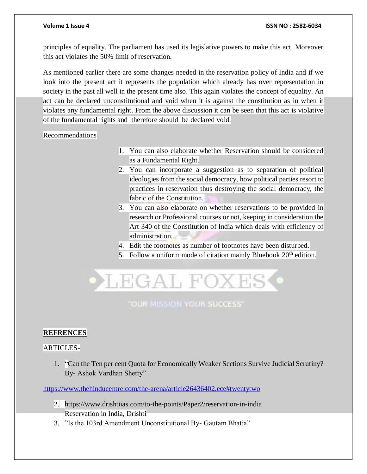principles of equality. The parliament has used its legislative powers to make this act. Moreover this act violates the 50% limit of reservation.

As mentioned earlier there are some changes needed in the reservation policy of India and if we look into the present act it represents the population which already has over representation in society in the past all well in the present time also. This again violates the concept of equality. An act can be declared unconstitutional and void when it is against the constitution as in when it violates any fundamental right. From the above discussion it can be seen that this act is violative of the fundamental rights and therefore should be declared void.

Recommendations

- 1. You can also elaborate whether Reservation should be considered as a Fundamental Right.
- 2. You can incorporate a suggestion as to separation of political ideologies from the social democracy, how political parties resort to practices in reservation thus destroying the social democracy, the fabric of the Constitution.
- 3. You can also elaborate on whether reservations to be provided in research or Professional courses or not, keeping in consideration the Art 340 of the Constitution of India which deals with efficiency of administration.
- 4. Edit the footnotes as number of footnotes have been disturbed.
- 5. Follow a uniform mode of citation mainly Bluebook  $20<sup>th</sup>$  edition.



"OUR MISSION YOUR SUCCESS"

# **REFRENCES**

### ARTICLES-

1. "Can the Ten per cent Quota for Economically Weaker Sections Survive Judicial Scrutiny? By- Ashok Vardhan Shetty"

<https://www.thehinducentre.com/the-arena/article26436402.ece#twentytwo>

- 2. https://www.drishtiias.com/to-the-points/Paper2/reservation-in-india Reservation in India, Drishti
- 3. "Is the 103rd Amendment Unconstitutional By- Gautam Bhatia"